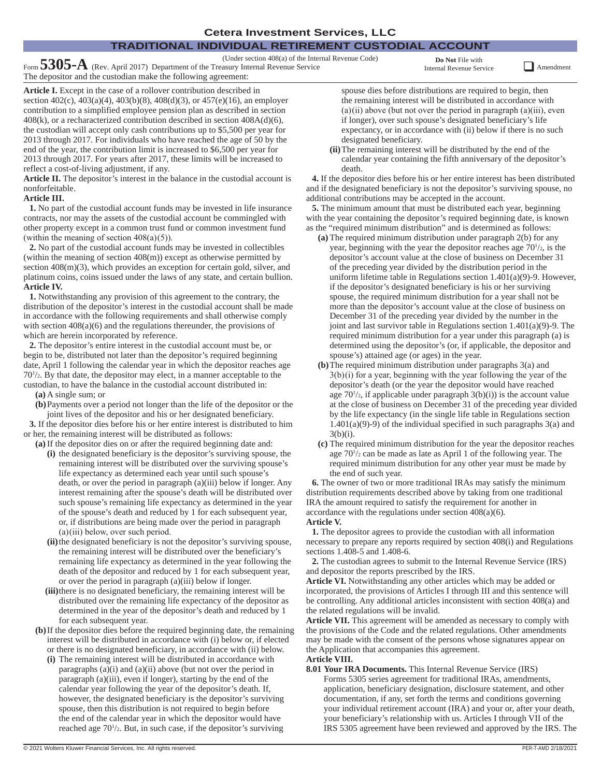# **TRADITIONAL INDIVIDUAL RETIREMENT CUSTODIAL ACCOUNT**

(Under section 408(a) of the Internal Revenue Code) Form **5305-A** (Rev. April 2017) Department of the Treasury Internal Revenue Service The depositor and the custodian make the following agreement:

**Do Not** File with

Internal Revenue Service **QAMEND** Amendment

**Article I.** Except in the case of a rollover contribution described in section 402(c), 403(a)(4), 403(b)(8), 408(d)(3), or 457(e)(16), an employer contribution to a simplified employee pension plan as described in section 408(k), or a recharacterized contribution described in section 408A(d)(6), the custodian will accept only cash contributions up to \$5,500 per year for 2013 through 2017. For individuals who have reached the age of 50 by the end of the year, the contribution limit is increased to \$6,500 per year for 2013 through 2017. For years after 2017, these limits will be increased to reflect a cost-of-living adjustment, if any.

**Article II.** The depositor's interest in the balance in the custodial account is nonforfeitable.

### **Article III.**

**1.** No part of the custodial account funds may be invested in life insurance contracts, nor may the assets of the custodial account be commingled with other property except in a common trust fund or common investment fund (within the meaning of section  $408(a)(5)$ ).

**2.** No part of the custodial account funds may be invested in collectibles (within the meaning of section 408(m)) except as otherwise permitted by section 408(m)(3), which provides an exception for certain gold, silver, and platinum coins, coins issued under the laws of any state, and certain bullion. **Article IV.**

**1.** Notwithstanding any provision of this agreement to the contrary, the distribution of the depositor's interest in the custodial account shall be made in accordance with the following requirements and shall otherwise comply with section  $408(a)(6)$  and the regulations thereunder, the provisions of which are herein incorporated by reference.

**2.** The depositor's entire interest in the custodial account must be, or begin to be, distributed not later than the depositor's required beginning date, April 1 following the calendar year in which the depositor reaches age 701 /2. By that date, the depositor may elect, in a manner acceptable to the custodian, to have the balance in the custodial account distributed in:

**(a)** A single sum; or

**(b)**Payments over a period not longer than the life of the depositor or the joint lives of the depositor and his or her designated beneficiary.

**3.** If the depositor dies before his or her entire interest is distributed to him or her, the remaining interest will be distributed as follows:

- **(a)** If the depositor dies on or after the required beginning date and:
	- **(i)** the designated beneficiary is the depositor's surviving spouse, the remaining interest will be distributed over the surviving spouse's life expectancy as determined each year until such spouse's death, or over the period in paragraph (a)(iii) below if longer. Any interest remaining after the spouse's death will be distributed over such spouse's remaining life expectancy as determined in the year of the spouse's death and reduced by 1 for each subsequent year, or, if distributions are being made over the period in paragraph  $(a)$  $(iii)$  below, over such period.
	- **(ii)**the designated beneficiary is not the depositor's surviving spouse, the remaining interest will be distributed over the beneficiary's remaining life expectancy as determined in the year following the death of the depositor and reduced by 1 for each subsequent year, or over the period in paragraph (a)(iii) below if longer.
	- **(iii)**there is no designated beneficiary, the remaining interest will be distributed over the remaining life expectancy of the depositor as determined in the year of the depositor's death and reduced by 1 for each subsequent year.
- **(b)**If the depositor dies before the required beginning date, the remaining interest will be distributed in accordance with (i) below or, if elected or there is no designated beneficiary, in accordance with (ii) below.
	- **(i)** The remaining interest will be distributed in accordance with paragraphs (a)(i) and (a)(ii) above (but not over the period in paragraph (a)(iii), even if longer), starting by the end of the calendar year following the year of the depositor's death. If, however, the designated beneficiary is the depositor's surviving spouse, then this distribution is not required to begin before the end of the calendar year in which the depositor would have reached age  $70\frac{1}{2}$ . But, in such case, if the depositor's surviving

spouse dies before distributions are required to begin, then the remaining interest will be distributed in accordance with  $(a)(ii)$  above (but not over the period in paragraph  $(a)(iii)$ , even if longer), over such spouse's designated beneficiary's life expectancy, or in accordance with (ii) below if there is no such designated beneficiary.

**(ii)**The remaining interest will be distributed by the end of the calendar year containing the fifth anniversary of the depositor's death.

**4.** If the depositor dies before his or her entire interest has been distributed and if the designated beneficiary is not the depositor's surviving spouse, no additional contributions may be accepted in the account.

**5.** The minimum amount that must be distributed each year, beginning with the year containing the depositor's required beginning date, is known as the "required minimum distribution" and is determined as follows:

- **(a)** The required minimum distribution under paragraph 2(b) for any year, beginning with the year the depositor reaches age  $70<sup>1</sup>/2$ , is the depositor's account value at the close of business on December 31 of the preceding year divided by the distribution period in the uniform lifetime table in Regulations section 1.401(a)(9)-9. However, if the depositor's designated beneficiary is his or her surviving spouse, the required minimum distribution for a year shall not be more than the depositor's account value at the close of business on December 31 of the preceding year divided by the number in the joint and last survivor table in Regulations section  $1.401(a)(9)$ -9. The required minimum distribution for a year under this paragraph (a) is determined using the depositor's (or, if applicable, the depositor and spouse's) attained age (or ages) in the year.
- **(b)**The required minimum distribution under paragraphs 3(a) and 3(b) (i) for a year, beginning with the year following the year of the depositor's death (or the year the depositor would have reached age  $70\frac{1}{2}$ , if applicable under paragraph  $3(b)(i)$ ) is the account value at the close of business on December 31 of the preceding year divided by the life expectancy (in the single life table in Regulations section  $1.401(a)(9)-9$  of the individual specified in such paragraphs  $3(a)$  and  $3(b)(i)$ .
- **(c)** The required minimum distribution for the year the depositor reaches age 701 /2 can be made as late as April 1 of the following year. The required minimum distribution for any other year must be made by the end of such year.

**6.** The owner of two or more traditional IRAs may satisfy the minimum distribution requirements described above by taking from one traditional IRA the amount required to satisfy the requirement for another in accordance with the regulations under section 408(a)(6).

**Article V. 1.** The depositor agrees to provide the custodian with all information

necessary to prepare any reports required by section 408(i) and Regulations sections 1.408-5 and 1.408-6.

**2.** The custodian agrees to submit to the Internal Revenue Service (IRS) and depositor the reports prescribed by the IRS.

**Article VI.** Notwithstanding any other articles which may be added or incorporated, the provisions of Articles I through III and this sentence will be controlling. Any additional articles inconsistent with section 408(a) and the related regulations will be invalid.

**Article VII.** This agreement will be amended as necessary to comply with the provisions of the Code and the related regulations. Other amendments may be made with the consent of the persons whose signatures appear on the Application that accompanies this agreement. **Article VIII.**

**8.01 Your IRA Documents.** This Internal Revenue Service (IRS) Forms 5305 series agreement for traditional IRAs, amendments, application, beneficiary designation, disclosure statement, and other documentation, if any, set forth the terms and conditions governing your individual retirement account (IRA) and your or, after your death, your beneficiary's relationship with us. Articles I through VII of the IRS 5305 agreement have been reviewed and approved by the IRS. The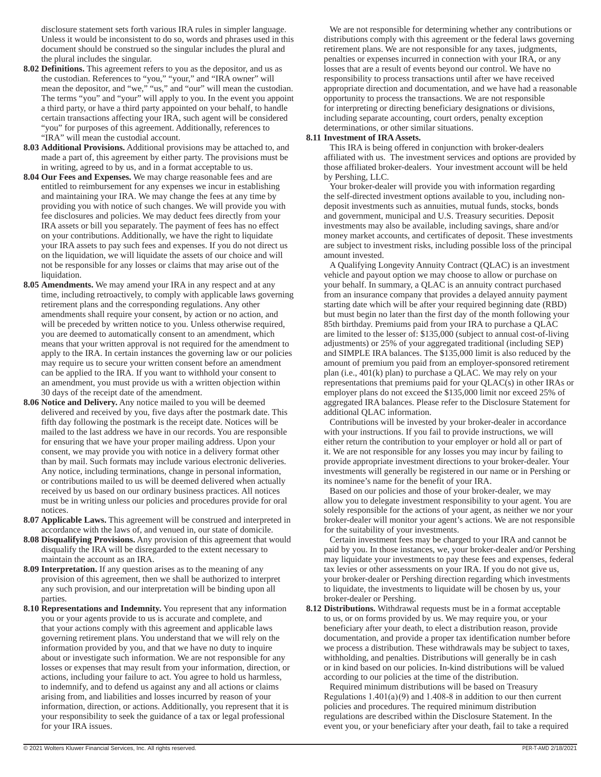disclosure statement sets forth various IRA rules in simpler language. Unless it would be inconsistent to do so, words and phrases used in this document should be construed so the singular includes the plural and the plural includes the singular.

- **8.02 Definitions.** This agreement refers to you as the depositor, and us as the custodian. References to "you," "your," and "IRA owner" will mean the depositor, and "we," "us," and "our" will mean the custodian. The terms "you" and "your" will apply to you. In the event you appoint a third party, or have a third party appointed on your behalf, to handle certain transactions affecting your IRA, such agent will be considered "you" for purposes of this agreement. Additionally, references to "IRA" will mean the custodial account.
- **8.03 Additional Provisions.** Additional provisions may be attached to, and made a part of, this agreement by either party. The provisions must be in writing, agreed to by us, and in a format acceptable to us.
- **8.04 Our Fees and Expenses.** We may charge reasonable fees and are entitled to reimbursement for any expenses we incur in establishing and maintaining your IRA. We may change the fees at any time by providing you with notice of such changes. We will provide you with fee disclosures and policies. We may deduct fees directly from your IRA assets or bill you separately. The payment of fees has no effect on your contributions. Additionally, we have the right to liquidate your IRA assets to pay such fees and expenses. If you do not direct us on the liquidation, we will liquidate the assets of our choice and will not be responsible for any losses or claims that may arise out of the liquidation.
- **8.05 Amendments.** We may amend your IRA in any respect and at any time, including retroactively, to comply with applicable laws governing retirement plans and the corresponding regulations. Any other amendments shall require your consent, by action or no action, and will be preceded by written notice to you. Unless otherwise required, you are deemed to automatically consent to an amendment, which means that your written approval is not required for the amendment to apply to the IRA. In certain instances the governing law or our policies may require us to secure your written consent before an amendment can be applied to the IRA. If you want to withhold your consent to an amendment, you must provide us with a written objection within 30 days of the receipt date of the amendment.
- **8.06 Notice and Delivery.** Any notice mailed to you will be deemed delivered and received by you, five days after the postmark date. This fifth day following the postmark is the receipt date. Notices will be mailed to the last address we have in our records. You are responsible for ensuring that we have your proper mailing address. Upon your consent, we may provide you with notice in a delivery format other than by mail. Such formats may include various electronic deliveries. Any notice, including terminations, change in personal information, or contributions mailed to us will be deemed delivered when actually received by us based on our ordinary business practices. All notices must be in writing unless our policies and procedures provide for oral notices.
- **8.07 Applicable Laws.** This agreement will be construed and interpreted in accordance with the laws of, and venued in, our state of domicile.
- **8.08 Disqualifying Provisions.** Any provision of this agreement that would disqualify the IRA will be disregarded to the extent necessary to maintain the account as an IRA.
- **8.09 Interpretation.** If any question arises as to the meaning of any provision of this agreement, then we shall be authorized to interpret any such provision, and our interpretation will be binding upon all parties.
- **8.10 Representations and Indemnity.** You represent that any information you or your agents provide to us is accurate and complete, and that your actions comply with this agreement and applicable laws governing retirement plans. You understand that we will rely on the information provided by you, and that we have no duty to inquire about or investigate such information. We are not responsible for any losses or expenses that may result from your information, direction, or actions, including your failure to act. You agree to hold us harmless, to indemnify, and to defend us against any and all actions or claims arising from, and liabilities and losses incurred by reason of your information, direction, or actions. Additionally, you represent that it is your responsibility to seek the guidance of a tax or legal professional for your IRA issues.

We are not responsible for determining whether any contributions or distributions comply with this agreement or the federal laws governing retirement plans. We are not responsible for any taxes, judgments, penalties or expenses incurred in connection with your IRA, or any losses that are a result of events beyond our control. We have no responsibility to process transactions until after we have received appropriate direction and documentation, and we have had a reasonable opportunity to process the transactions. We are not responsible for interpreting or directing beneficiary designations or divisions, including separate accounting, court orders, penalty exception determinations, or other similar situations.

#### **8.11 Investment of IRA Assets.**

This IRA is being offered in conjunction with broker-dealers affiliated with us. The investment services and options are provided by those affiliated broker-dealers. Your investment account will be held by Pershing, LLC.

Your broker-dealer will provide you with information regarding the self-directed investment options available to you, including nondeposit investments such as annuities, mutual funds, stocks, bonds and government, municipal and U.S. Treasury securities. Deposit investments may also be available, including savings, share and/or money market accounts, and certificates of deposit. These investments are subject to investment risks, including possible loss of the principal amount invested.

A Qualifying Longevity Annuity Contract (QLAC) is an investment vehicle and payout option we may choose to allow or purchase on your behalf. In summary, a QLAC is an annuity contract purchased from an insurance company that provides a delayed annuity payment starting date which will be after your required beginning date (RBD) but must begin no later than the first day of the month following your 85th birthday. Premiums paid from your IRA to purchase a QLAC are limited to the lesser of: \$135,000 (subject to annual cost-of-living adjustments) or 25% of your aggregated traditional (including SEP) and SIMPLE IRA balances. The \$135,000 limit is also reduced by the amount of premium you paid from an employer-sponsored retirement plan (i.e., 401(k) plan) to purchase a QLAC. We may rely on your representations that premiums paid for your QLAC(s) in other IRAs or employer plans do not exceed the \$135,000 limit nor exceed 25% of aggregated IRA balances. Please refer to the Disclosure Statement for additional QLAC information.

Contributions will be invested by your broker-dealer in accordance with your instructions. If you fail to provide instructions, we will either return the contribution to your employer or hold all or part of it. We are not responsible for any losses you may incur by failing to provide appropriate investment directions to your broker-dealer. Your investments will generally be registered in our name or in Pershing or its nominee's name for the benefit of your IRA.

Based on our policies and those of your broker-dealer, we may allow you to delegate investment responsibility to your agent. You are solely responsible for the actions of your agent, as neither we nor your broker-dealer will monitor your agent's actions. We are not responsible for the suitability of your investments.

Certain investment fees may be charged to your IRA and cannot be paid by you. In those instances, we, your broker-dealer and/or Pershing may liquidate your investments to pay these fees and expenses, federal tax levies or other assessments on your IRA. If you do not give us, your broker-dealer or Pershing direction regarding which investments to liquidate, the investments to liquidate will be chosen by us, your broker-dealer or Pershing.

**8.12 Distributions.** Withdrawal requests must be in a format acceptable to us, or on forms provided by us. We may require you, or your beneficiary after your death, to elect a distribution reason, provide documentation, and provide a proper tax identification number before we process a distribution. These withdrawals may be subject to taxes, withholding, and penalties. Distributions will generally be in cash or in kind based on our policies. In-kind distributions will be valued according to our policies at the time of the distribution.

Required minimum distributions will be based on Treasury Regulations  $1.401(a)(9)$  and  $1.408-8$  in addition to our then current policies and procedures. The required minimum distribution regulations are described within the Disclosure Statement. In the event you, or your beneficiary after your death, fail to take a required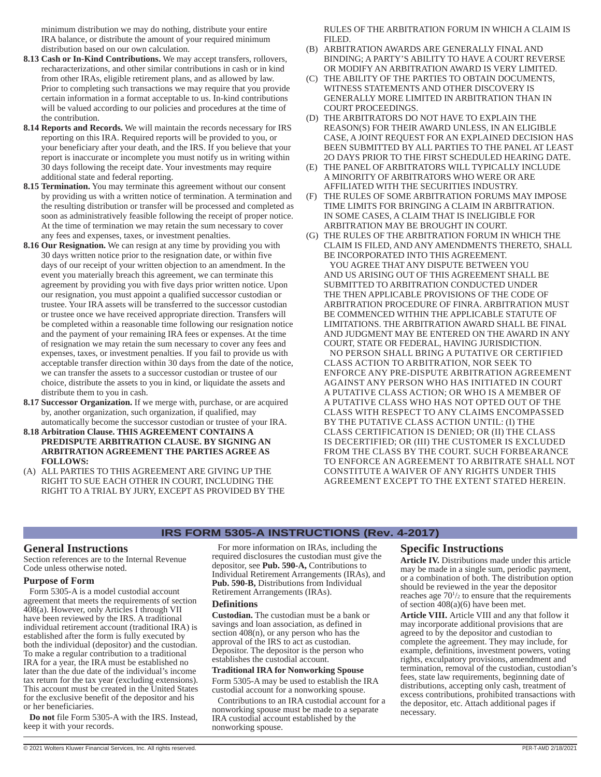minimum distribution we may do nothing, distribute your entire IRA balance, or distribute the amount of your required minimum distribution based on our own calculation.

- **8.13 Cash or In-Kind Contributions.** We may accept transfers, rollovers, recharacterizations, and other similar contributions in cash or in kind from other IRAs, eligible retirement plans, and as allowed by law. Prior to completing such transactions we may require that you provide certain information in a format acceptable to us. In-kind contributions will be valued according to our policies and procedures at the time of the contribution.
- **8.14 Reports and Records.** We will maintain the records necessary for IRS reporting on this IRA. Required reports will be provided to you, or your beneficiary after your death, and the IRS. If you believe that your report is inaccurate or incomplete you must notify us in writing within 30 days following the receipt date. Your investments may require additional state and federal reporting.
- **8.15 Termination.** You may terminate this agreement without our consent by providing us with a written notice of termination. A termination and the resulting distribution or transfer will be processed and completed as soon as administratively feasible following the receipt of proper notice. At the time of termination we may retain the sum necessary to cover any fees and expenses, taxes, or investment penalties.
- **8.16 Our Resignation.** We can resign at any time by providing you with 30 days written notice prior to the resignation date, or within five days of our receipt of your written objection to an amendment. In the event you materially breach this agreement, we can terminate this agreement by providing you with five days prior written notice. Upon our resignation, you must appoint a qualified successor custodian or trustee. Your IRA assets will be transferred to the successor custodian or trustee once we have received appropriate direction. Transfers will be completed within a reasonable time following our resignation notice and the payment of your remaining IRA fees or expenses. At the time of resignation we may retain the sum necessary to cover any fees and expenses, taxes, or investment penalties. If you fail to provide us with acceptable transfer direction within 30 days from the date of the notice, we can transfer the assets to a successor custodian or trustee of our choice, distribute the assets to you in kind, or liquidate the assets and distribute them to you in cash.
- **8.17 Successor Organization.** If we merge with, purchase, or are acquired by, another organization, such organization, if qualified, may automatically become the successor custodian or trustee of your IRA.
- **8.18 Arbitration Clause. THIS AGREEMENT CONTAINS A PREDISPUTE ARBITRATION CLAUSE. BY SIGNING AN ARBITRATION AGREEMENT THE PARTIES AGREE AS FOLLOWS:**
- (A) ALL PARTIES TO THIS AGREEMENT ARE GIVING UP THE RIGHT TO SUE EACH OTHER IN COURT, INCLUDING THE RIGHT TO A TRIAL BY JURY, EXCEPT AS PROVIDED BY THE

RULES OF THE ARBITRATION FORUM IN WHICH A CLAIM IS FILED.

- (B) ARBITRATION AWARDS ARE GENERALLY FINAL AND BINDING; A PARTY'S ABILITY TO HAVE A COURT REVERSE OR MODIFY AN ARBITRATION AWARD IS VERY LIMITED.
- (C) THE ABILITY OF THE PARTIES TO OBTAIN DOCUMENTS, WITNESS STATEMENTS AND OTHER DISCOVERY IS GENERALLY MORE LIMITED IN ARBITRATION THAN IN COURT PROCEEDINGS.
- (D) THE ARBITRATORS DO NOT HAVE TO EXPLAIN THE REASON(S) FOR THEIR AWARD UNLESS, IN AN ELIGIBLE CASE, A JOINT REQUEST FOR AN EXPLAINED DECISION HAS BEEN SUBMITTED BY ALL PARTIES TO THE PANEL AT LEAST 2O DAYS PRIOR TO THE FIRST SCHEDULED HEARING DATE.
- (E) THE PANEL OF ARBITRATORS WILL TYPICALLY INCLUDE A MINORITY OF ARBITRATORS WHO WERE OR ARE AFFILIATED WITH THE SECURITIES INDUSTRY.
- (F) THE RULES OF SOME ARBITRATION FORUMS MAY IMPOSE TIME LIMITS FOR BRINGING A CLAIM IN ARBITRATION. IN SOME CASES, A CLAIM THAT IS INELIGIBLE FOR ARBITRATION MAY BE BROUGHT IN COURT.
- (G) THE RULES OF THE ARBITRATION FORUM IN WHICH THE CLAIM IS FILED, AND ANY AMENDMENTS THERETO, SHALL BE INCORPORATED INTO THIS AGREEMENT. YOU AGREE THAT ANY DISPUTE BETWEEN YOU AND US ARISING OUT OF THIS AGREEMENT SHALL BE SUBMITTED TO ARBITRATION CONDUCTED UNDER THE THEN APPLICABLE PROVISIONS OF THE CODE OF ARBITRATION PROCEDURE OF FINRA. ARBITRATION MUST BE COMMENCED WITHIN THE APPLICABLE STATUTE OF LIMITATIONS. THE ARBITRATION AWARD SHALL BE FINAL AND JUDGMENT MAY BE ENTERED ON THE AWARD IN ANY COURT, STATE OR FEDERAL, HAVING JURISDICTION. NO PERSON SHALL BRING A PUTATIVE OR CERTIFIED CLASS ACTION TO ARBITRATION, NOR SEEK TO ENFORCE ANY PRE-DISPUTE ARBITRATION AGREEMENT AGAINST ANY PERSON WHO HAS INITIATED IN COURT A PUTATIVE CLASS ACTION; OR WHO IS A MEMBER OF A PUTATIVE CLASS WHO HAS NOT OPTED OUT OF THE CLASS WITH RESPECT TO ANY CLAIMS ENCOMPASSED BY THE PUTATIVE CLASS ACTION UNTIL: (I) THE CLASS CERTIFICATION IS DENIED; OR (II) THE CLASS IS DECERTIFIED; OR (III) THE CUSTOMER IS EXCLUDED FROM THE CLASS BY THE COURT. SUCH FORBEARANCE TO ENFORCE AN AGREEMENT TO ARBITRATE SHALL NOT CONSTITUTE A WAIVER OF ANY RIGHTS UNDER THIS AGREEMENT EXCEPT TO THE EXTENT STATED HEREIN.

#### **IRS FORM 5305-A INSTRUCTIONS (Rev. 4-2017)**

## **General Instructions**

Section references are to the Internal Revenue Code unless otherwise noted.

#### **Purpose of Form**

Form 5305-A is a model custodial account agreement that meets the requirements of section 408(a). However, only Articles I through VII have been reviewed by the IRS. A traditional individual retirement account (traditional IRA) is established after the form is fully executed by both the individual (depositor) and the custodian. To make a regular contribution to a traditional IRA for a year, the IRA must be established no later than the due date of the individual's income tax return for the tax year (excluding extensions). This account must be created in the United States for the exclusive benefit of the depositor and his or her beneficiaries.

**Do not** file Form 5305-A with the IRS. Instead, keep it with your records.

For more information on IRAs, including the required disclosures the custodian must give the depositor, see **Pub. 590-A,** Contributions to Individual Retirement Arrangements (IRAs), and **Pub. 590-B,** Distributions from Individual Retirement Arrangements (IRAs).

#### **Definitions**

**Custodian.** The custodian must be a bank or savings and loan association, as defined in section 408(n), or any person who has the approval of the IRS to act as custodian. Depositor. The depositor is the person who establishes the custodial account.

#### **Traditional IRA for Nonworking Spouse**

Form 5305-A may be used to establish the IRA custodial account for a nonworking spouse.

Contributions to an IRA custodial account for a nonworking spouse must be made to a separate IRA custodial account established by the nonworking spouse.

## **Specific Instructions**

**Article IV.** Distributions made under this article may be made in a single sum, periodic payment, or a combination of both. The distribution option should be reviewed in the year the depositor reaches age  $70\frac{1}{2}$  to ensure that the requirements of section 408(a)(6) have been met.

**Article VIII.** Article VIII and any that follow it may incorporate additional provisions that are agreed to by the depositor and custodian to complete the agreement. They may include, for example, definitions, investment powers, voting rights, exculpatory provisions, amendment and termination, removal of the custodian, custodian's fees, state law requirements, beginning date of distributions, accepting only cash, treatment of excess contributions, prohibited transactions with the depositor, etc. Attach additional pages if necessary.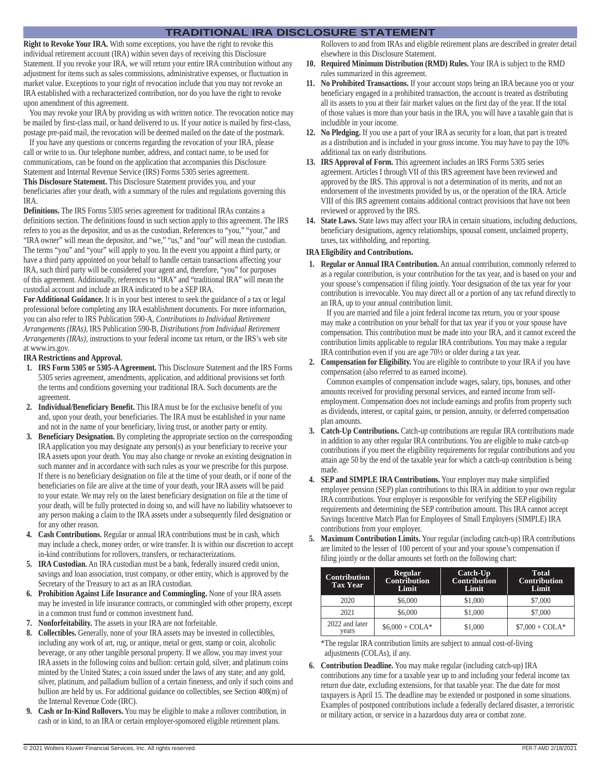## **TRADITIONAL IRA DISCLOSURE STATEMENT**

**Right to Revoke Your IRA.** With some exceptions, you have the right to revoke this individual retirement account (IRA) within seven days of receiving this Disclosure Statement. If you revoke your IRA, we will return your entire IRA contribution without any adjustment for items such as sales commissions, administrative expenses, or fluctuation in market value. Exceptions to your right of revocation include that you may not revoke an IRA established with a recharacterized contribution, nor do you have the right to revoke upon amendment of this agreement.

You may revoke your IRA by providing us with written notice. The revocation notice may be mailed by first-class mail, or hand delivered to us. If your notice is mailed by first-class, postage pre-paid mail, the revocation will be deemed mailed on the date of the postmark.

If you have any questions or concerns regarding the revocation of your IRA, please call or write to us. Our telephone number, address, and contact name, to be used for communications, can be found on the application that accompanies this Disclosure Statement and Internal Revenue Service (IRS) Forms 5305 series agreement. **This Disclosure Statement.** This Disclosure Statement provides you, and your beneficiaries after your death, with a summary of the rules and regulations governing this IRA.

**Definitions.** The IRS Forms 5305 series agreement for traditional IRAs contains a definitions section. The definitions found in such section apply to this agreement. The IRS refers to you as the depositor, and us as the custodian. References to "you," "your," and "IRA owner" will mean the depositor, and "we," "us," and "our" will mean the custodian. The terms "you" and "your" will apply to you. In the event you appoint a third party, or have a third party appointed on your behalf to handle certain transactions affecting your IRA, such third party will be considered your agent and, therefore, "you" for purposes of this agreement. Additionally, references to "IRA" and "traditional IRA" will mean the custodial account and include an IRA indicated to be a SEP IRA.

**For Additional Guidance.** It is in your best interest to seek the guidance of a tax or legal professional before completing any IRA establishment documents. For more information, you can also refer to IRS Publication 590-A, *Contributions to Individual Retirement Arrangements (IRAs)*, IRS Publication 590-B, *Distributions from Individual Retirement Arrangements (IRAs)*, instructions to your federal income tax return, or the IRS's web site at www.irs.gov.

## **IRA Restrictions and Approval.**

- **1. IRS Form 5305 or 5305-A Agreement.** This Disclosure Statement and the IRS Forms 5305 series agreement, amendments, application, and additional provisions set forth the terms and conditions governing your traditional IRA. Such documents are the agreement.
- **2. Individual/Beneficiary Benefit.** This IRA must be for the exclusive benefit of you and, upon your death, your beneficiaries. The IRA must be established in your name and not in the name of your beneficiary, living trust, or another party or entity.
- **3. Beneficiary Designation.** By completing the appropriate section on the corresponding IRA application you may designate any person(s) as your beneficiary to receive your IRA assets upon your death. You may also change or revoke an existing designation in such manner and in accordance with such rules as your we prescribe for this purpose. If there is no beneficiary designation on file at the time of your death, or if none of the beneficiaries on file are alive at the time of your death, your IRA assets will be paid to your estate. We may rely on the latest beneficiary designation on file at the time of your death, will be fully protected in doing so, and will have no liability whatsoever to any person making a claim to the IRA assets under a subsequently filed designation or for any other reason.
- **4. Cash Contributions.** Regular or annual IRA contributions must be in cash, which may include a check, money order, or wire transfer. It is within our discretion to accept in-kind contributions for rollovers, transfers, or recharacterizations.
- **5. IRA Custodian.** An IRA custodian must be a bank, federally insured credit union, savings and loan association, trust company, or other entity, which is approved by the Secretary of the Treasury to act as an IRA custodian.
- **6. Prohibition Against Life Insurance and Commingling.** None of your IRA assets may be invested in life insurance contracts, or commingled with other property, except in a common trust fund or common investment fund.
- **7. Nonforfeitability.** The assets in your IRA are not forfeitable.
- **8. Collectibles.** Generally, none of your IRA assets may be invested in collectibles, including any work of art, rug, or antique, metal or gem, stamp or coin, alcoholic beverage, or any other tangible personal property. If we allow, you may invest your IRA assets in the following coins and bullion: certain gold, silver, and platinum coins minted by the United States; a coin issued under the laws of any state; and any gold, silver, platinum, and palladium bullion of a certain fineness, and only if such coins and bullion are held by us. For additional guidance on collectibles, see Section 408(m) of the Internal Revenue Code (IRC).
- **9. Cash or In-Kind Rollovers.** You may be eligible to make a rollover contribution, in cash or in kind, to an IRA or certain employer-sponsored eligible retirement plans.

Rollovers to and from IRAs and eligible retirement plans are described in greater detail elsewhere in this Disclosure Statement.

- **10. Required Minimum Distribution (RMD) Rules.** Your IRA is subject to the RMD rules summarized in this agreement.
- **11. No Prohibited Transactions.** If your account stops being an IRA because you or your beneficiary engaged in a prohibited transaction, the account is treated as distributing all its assets to you at their fair market values on the first day of the year. If the total of those values is more than your basis in the IRA, you will have a taxable gain that is includible in your income.
- **12. No Pledging.** If you use a part of your IRA as security for a loan, that part is treated as a distribution and is included in your gross income. You may have to pay the 10% additional tax on early distributions.
- **13. IRS Approval of Form.** This agreement includes an IRS Forms 5305 series agreement. Articles I through VII of this IRS agreement have been reviewed and approved by the IRS. This approval is not a determination of its merits, and not an endorsement of the investments provided by us, or the operation of the IRA. Article VIII of this IRS agreement contains additional contract provisions that have not been reviewed or approved by the IRS.
- **14. State Laws.** State laws may affect your IRA in certain situations, including deductions, beneficiary designations, agency relationships, spousal consent, unclaimed property, taxes, tax withholding, and reporting.

## **IRA Eligibility and Contributions.**

**1. Regular or Annual IRA Contribution.** An annual contribution, commonly referred to as a regular contribution, is your contribution for the tax year, and is based on your and your spouse's compensation if filing jointly. Your designation of the tax year for your contribution is irrevocable. You may direct all or a portion of any tax refund directly to an IRA, up to your annual contribution limit.

If you are married and file a joint federal income tax return, you or your spouse may make a contribution on your behalf for that tax year if you or your spouse have compensation. This contribution must be made into your IRA, and it cannot exceed the contribution limits applicable to regular IRA contributions. You may make a regular IRA contribution even if you are age 70½ or older during a tax year.

**2. Compensation for Eligibility.** You are eligible to contribute to your IRA if you have compensation (also referred to as earned income).

Common examples of compensation include wages, salary, tips, bonuses, and other amounts received for providing personal services, and earned income from selfemployment. Compensation does not include earnings and profits from property such as dividends, interest, or capital gains, or pension, annuity, or deferred compensation plan amounts.

- **3. Catch-Up Contributions.** Catch-up contributions are regular IRA contributions made in addition to any other regular IRA contributions. You are eligible to make catch-up contributions if you meet the eligibility requirements for regular contributions and you attain age 50 by the end of the taxable year for which a catch-up contribution is being made.
- **4. SEP and SIMPLE IRA Contributions.** Your employer may make simplified employee pension (SEP) plan contributions to this IRA in addition to your own regular IRA contributions. Your employer is responsible for verifying the SEP eligibility requirements and determining the SEP contribution amount. This IRA cannot accept Savings Incentive Match Plan for Employees of Small Employers (SIMPLE) IRA contributions from your employer.
- **5. Maximum Contribution Limits.** Your regular (including catch-up) IRA contributions are limited to the lesser of 100 percent of your and your spouse's compensation if filing jointly or the dollar amounts set forth on the following chart:

| <b>Contribution</b><br><b>Tax Year</b> | <b>Regular</b><br><b>Contribution</b><br>Limit | Catch-Up<br><b>Contribution</b><br>Limit | Total<br><b>Contribution</b><br>Limit |  |  |
|----------------------------------------|------------------------------------------------|------------------------------------------|---------------------------------------|--|--|
| 2020                                   | \$6,000                                        | \$1,000                                  | \$7,000                               |  |  |
| 2021                                   | \$6,000                                        | \$1,000                                  | \$7,000                               |  |  |
| 2022 and later<br>vears                | $$6,000 + COLA*$                               | \$1,000                                  | $$7.000 + COLA*$                      |  |  |

\*The regular IRA contribution limits are subject to annual cost-of-living adjustments (COLAs), if any.

**6. Contribution Deadline.** You may make regular (including catch-up) IRA contributions any time for a taxable year up to and including your federal income tax return due date, excluding extensions, for that taxable year. The due date for most taxpayers is April 15. The deadline may be extended or postponed in some situations. Examples of postponed contributions include a federally declared disaster, a terroristic or military action, or service in a hazardous duty area or combat zone.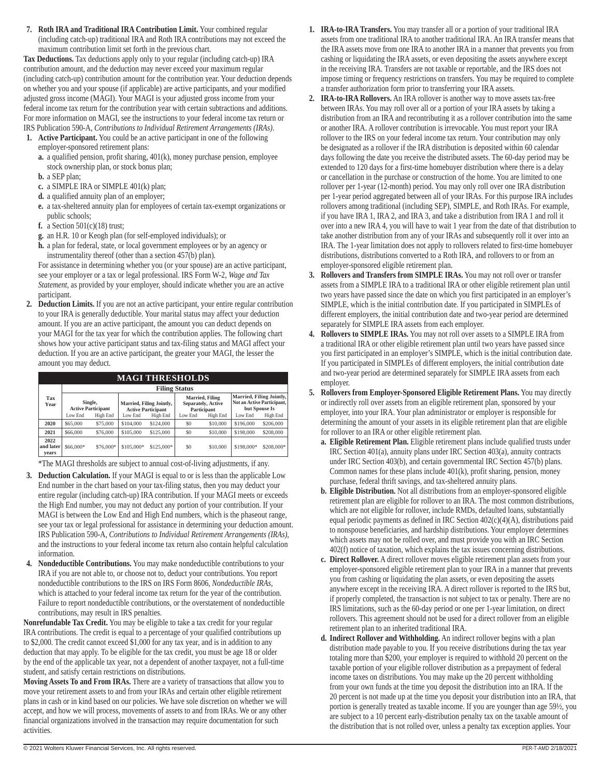**7. Roth IRA and Traditional IRA Contribution Limit.** Your combined regular (including catch-up) traditional IRA and Roth IRA contributions may not exceed the maximum contribution limit set forth in the previous chart.

**Tax Deductions.** Tax deductions apply only to your regular (including catch-up) IRA contribution amount, and the deduction may never exceed your maximum regular (including catch-up) contribution amount for the contribution year. Your deduction depends on whether you and your spouse (if applicable) are active participants, and your modified adjusted gross income (MAGI). Your MAGI is your adjusted gross income from your federal income tax return for the contribution year with certain subtractions and additions. For more information on MAGI, see the instructions to your federal income tax return or IRS Publication 590-A, *Contributions to Individual Retirement Arrangements (IRAs)*.

- **1. Active Participant.** You could be an active participant in one of the following employer-sponsored retirement plans:
	- **a.** a qualified pension, profit sharing, 401(k), money purchase pension, employee stock ownership plan, or stock bonus plan;
	- **b.** a SEP plan;
	- **c.** a SIMPLE IRA or SIMPLE 401(k) plan;
	- **d.** a qualified annuity plan of an employer;
	- **e.** a tax-sheltered annuity plan for employees of certain tax-exempt organizations or public schools;
	- **f.** a Section 501(c)(18) trust;
	- **g.** an H.R. 10 or Keogh plan (for self-employed individuals); or
	- **h.** a plan for federal, state, or local government employees or by an agency or instrumentality thereof (other than a section 457(b) plan).

For assistance in determining whether you (or your spouse) are an active participant, see your employer or a tax or legal professional. IRS Form W-2, *Wage and Tax Statement,* as provided by your employer, should indicate whether you are an active participant.

**2. Deduction Limits.** If you are not an active participant, your entire regular contribution to your IRA is generally deductible. Your marital status may affect your deduction amount. If you are an active participant, the amount you can deduct depends on your MAGI for the tax year for which the contribution applies. The following chart shows how your active participant status and tax-filing status and MAGI affect your deduction. If you are an active participant, the greater your MAGI, the lesser the amount you may deduct.

## **MAGI THRESHOLDS**

|                            | <b>Filing Status</b>                 |           |                                                       |            |                                                      |          |                                                                         |            |  |  |
|----------------------------|--------------------------------------|-----------|-------------------------------------------------------|------------|------------------------------------------------------|----------|-------------------------------------------------------------------------|------------|--|--|
| Tax<br>Year                | Single,<br><b>Active Participant</b> |           | Married, Filing Jointly,<br><b>Active Participant</b> |            | Married, Filing<br>Separately, Active<br>Participant |          | Married, Filing Jointly,<br>Not an Active Participant,<br>but Spouse Is |            |  |  |
|                            | Low End                              | High End  | Low End                                               | High End   | Low End                                              | High End | Low End                                                                 | High End   |  |  |
| 2020                       | \$65,000                             | \$75,000  | \$104,000                                             | \$124,000  | SO.                                                  | \$10,000 | \$196,000                                                               | \$206,000  |  |  |
| 2021                       | \$66,000                             | \$76,000  | \$105,000                                             | \$125,000  | \$0                                                  | \$10,000 | \$198,000                                                               | \$208,000  |  |  |
| 2022<br>and later<br>vears | \$66,000*                            | \$76,000* | \$105,000*                                            | \$125,000* | \$0                                                  | \$10,000 | \$198,000*                                                              | \$208,000* |  |  |

\*The MAGI thresholds are subject to annual cost-of-living adjustments, if any.

- **3. Deduction Calculation.** If your MAGI is equal to or is less than the applicable Low End number in the chart based on your tax-filing status, then you may deduct your entire regular (including catch-up) IRA contribution. If your MAGI meets or exceeds the High End number, you may not deduct any portion of your contribution. If your MAGI is between the Low End and High End numbers, which is the phaseout range, see your tax or legal professional for assistance in determining your deduction amount. IRS Publication 590-A, *Contributions to Individual Retirement Arrangements (IRAs)*, and the instructions to your federal income tax return also contain helpful calculation information.
- **4. Nondeductible Contributions.** You may make nondeductible contributions to your IRA if you are not able to, or choose not to, deduct your contributions. You report nondeductible contributions to the IRS on IRS Form 8606, *Nondeductible IRAs,*  which is attached to your federal income tax return for the year of the contribution. Failure to report nondeductible contributions, or the overstatement of nondeductible contributions, may result in IRS penalties.

**Nonrefundable Tax Credit.** You may be eligible to take a tax credit for your regular IRA contributions. The credit is equal to a percentage of your qualified contributions up to \$2,000. The credit cannot exceed \$1,000 for any tax year, and is in addition to any deduction that may apply. To be eligible for the tax credit, you must be age 18 or older by the end of the applicable tax year, not a dependent of another taxpayer, not a full-time student, and satisfy certain restrictions on distributions.

**Moving Assets To and From IRAs.** There are a variety of transactions that allow you to move your retirement assets to and from your IRAs and certain other eligible retirement plans in cash or in kind based on our policies. We have sole discretion on whether we will accept, and how we will process, movements of assets to and from IRAs. We or any other financial organizations involved in the transaction may require documentation for such activities.

- **1. IRA-to-IRA Transfers.** You may transfer all or a portion of your traditional IRA assets from one traditional IRA to another traditional IRA. An IRA transfer means that the IRA assets move from one IRA to another IRA in a manner that prevents you from cashing or liquidating the IRA assets, or even depositing the assets anywhere except in the receiving IRA. Transfers are not taxable or reportable, and the IRS does not impose timing or frequency restrictions on transfers. You may be required to complete a transfer authorization form prior to transferring your IRA assets.
- **2. IRA-to-IRA Rollovers.** An IRA rollover is another way to move assets tax-free between IRAs. You may roll over all or a portion of your IRA assets by taking a distribution from an IRA and recontributing it as a rollover contribution into the same or another IRA. A rollover contribution is irrevocable. You must report your IRA rollover to the IRS on your federal income tax return. Your contribution may only be designated as a rollover if the IRA distribution is deposited within 60 calendar days following the date you receive the distributed assets. The 60-day period may be extended to 120 days for a first-time homebuyer distribution where there is a delay or cancellation in the purchase or construction of the home. You are limited to one rollover per 1-year (12-month) period. You may only roll over one IRA distribution per 1-year period aggregated between all of your IRAs. For this purpose IRA includes rollovers among traditional (including SEP), SIMPLE, and Roth IRAs. For example, if you have IRA 1, IRA 2, and IRA 3, and take a distribution from IRA 1 and roll it over into a new IRA 4, you will have to wait 1 year from the date of that distribution to take another distribution from any of your IRAs and subsequently roll it over into an IRA. The 1-year limitation does not apply to rollovers related to first-time homebuyer distributions, distributions converted to a Roth IRA, and rollovers to or from an employer-sponsored eligible retirement plan.
- **3. Rollovers and Transfers from SIMPLE IRAs.** You may not roll over or transfer assets from a SIMPLE IRA to a traditional IRA or other eligible retirement plan until two years have passed since the date on which you first participated in an employer's SIMPLE, which is the initial contribution date. If you participated in SIMPLEs of different employers, the initial contribution date and two-year period are determined separately for SIMPLE IRA assets from each employer.
- **4. Rollovers to SIMPLE IRAs.** You may not roll over assets to a SIMPLE IRA from a traditional IRA or other eligible retirement plan until two years have passed since you first participated in an employer's SIMPLE, which is the initial contribution date. If you participated in SIMPLEs of different employers, the initial contribution date and two-year period are determined separately for SIMPLE IRA assets from each employer.
- **5. Rollovers from Employer-Sponsored Eligible Retirement Plans.** You may directly or indirectly roll over assets from an eligible retirement plan, sponsored by your employer, into your IRA. Your plan administrator or employer is responsible for determining the amount of your assets in its eligible retirement plan that are eligible for rollover to an IRA or other eligible retirement plan.
	- **a. Eligible Retirement Plan.** Eligible retirement plans include qualified trusts under IRC Section 401(a), annuity plans under IRC Section 403(a), annuity contracts under IRC Section 403(b), and certain governmental IRC Section 457(b) plans. Common names for these plans include 401(k), profit sharing, pension, money purchase, federal thrift savings, and tax-sheltered annuity plans.
	- **b. Eligible Distribution.** Not all distributions from an employer-sponsored eligible retirement plan are eligible for rollover to an IRA. The most common distributions, which are not eligible for rollover, include RMDs, defaulted loans, substantially equal periodic payments as defined in IRC Section 402(c)(4)(A), distributions paid to nonspouse beneficiaries, and hardship distributions. Your employer determines which assets may not be rolled over, and must provide you with an IRC Section 402(f) notice of taxation, which explains the tax issues concerning distributions.
	- **c. Direct Rollover.** A direct rollover moves eligible retirement plan assets from your employer-sponsored eligible retirement plan to your IRA in a manner that prevents you from cashing or liquidating the plan assets, or even depositing the assets anywhere except in the receiving IRA. A direct rollover is reported to the IRS but, if properly completed, the transaction is not subject to tax or penalty. There are no IRS limitations, such as the 60-day period or one per 1-year limitation, on direct rollovers. This agreement should not be used for a direct rollover from an eligible retirement plan to an inherited traditional IRA.
	- **d. Indirect Rollover and Withholding.** An indirect rollover begins with a plan distribution made payable to you. If you receive distributions during the tax year totaling more than \$200, your employer is required to withhold 20 percent on the taxable portion of your eligible rollover distribution as a prepayment of federal income taxes on distributions. You may make up the 20 percent withholding from your own funds at the time you deposit the distribution into an IRA. If the 20 percent is not made up at the time you deposit your distribution into an IRA, that portion is generally treated as taxable income. If you are younger than age 59½, you are subject to a 10 percent early-distribution penalty tax on the taxable amount of the distribution that is not rolled over, unless a penalty tax exception applies. Your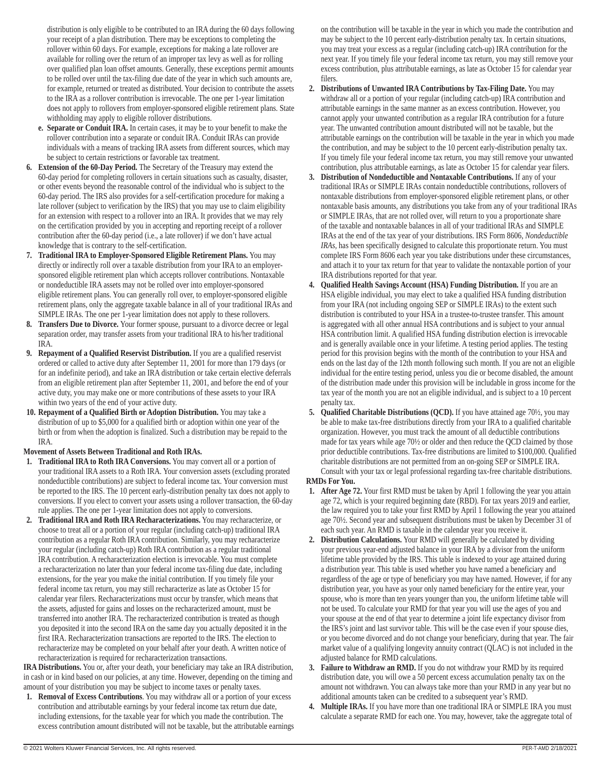distribution is only eligible to be contributed to an IRA during the 60 days following your receipt of a plan distribution. There may be exceptions to completing the rollover within 60 days. For example, exceptions for making a late rollover are available for rolling over the return of an improper tax levy as well as for rolling over qualified plan loan offset amounts. Generally, these exceptions permit amounts to be rolled over until the tax-filing due date of the year in which such amounts are, for example, returned or treated as distributed. Your decision to contribute the assets to the IRA as a rollover contribution is irrevocable. The one per 1-year limitation does not apply to rollovers from employer-sponsored eligible retirement plans. State withholding may apply to eligible rollover distributions.

- **e. Separate or Conduit IRA.** In certain cases, it may be to your benefit to make the rollover contribution into a separate or conduit IRA. Conduit IRAs can provide individuals with a means of tracking IRA assets from different sources, which may be subject to certain restrictions or favorable tax treatment.
- **6. Extension of the 60-Day Period.** The Secretary of the Treasury may extend the 60-day period for completing rollovers in certain situations such as casualty, disaster, or other events beyond the reasonable control of the individual who is subject to the 60-day period. The IRS also provides for a self-certification procedure for making a late rollover (subject to verification by the IRS) that you may use to claim eligibility for an extension with respect to a rollover into an IRA. It provides that we may rely on the certification provided by you in accepting and reporting receipt of a rollover contribution after the 60-day period (i.e., a late rollover) if we don't have actual knowledge that is contrary to the self-certification.
- **7. Traditional IRA to Employer-Sponsored Eligible Retirement Plans.** You may directly or indirectly roll over a taxable distribution from your IRA to an employersponsored eligible retirement plan which accepts rollover contributions. Nontaxable or nondeductible IRA assets may not be rolled over into employer-sponsored eligible retirement plans. You can generally roll over, to employer-sponsored eligible retirement plans, only the aggregate taxable balance in all of your traditional IRAs and SIMPLE IRAs. The one per 1-year limitation does not apply to these rollovers.
- **8. Transfers Due to Divorce.** Your former spouse, pursuant to a divorce decree or legal separation order, may transfer assets from your traditional IRA to his/her traditional IRA.
- **9. Repayment of a Qualified Reservist Distribution.** If you are a qualified reservist ordered or called to active duty after September 11, 2001 for more than 179 days (or for an indefinite period), and take an IRA distribution or take certain elective deferrals from an eligible retirement plan after September 11, 2001, and before the end of your active duty, you may make one or more contributions of these assets to your IRA within two years of the end of your active duty.
- **10. Repayment of a Qualified Birth or Adoption Distribution.** You may take a distribution of up to \$5,000 for a qualified birth or adoption within one year of the birth or from when the adoption is finalized. Such a distribution may be repaid to the IRA.

## **Movement of Assets Between Traditional and Roth IRAs.**

- **1. Traditional IRA to Roth IRA Conversions.** You may convert all or a portion of your traditional IRA assets to a Roth IRA. Your conversion assets (excluding prorated nondeductible contributions) are subject to federal income tax. Your conversion must be reported to the IRS. The 10 percent early-distribution penalty tax does not apply to conversions. If you elect to convert your assets using a rollover transaction, the 60-day rule applies. The one per 1-year limitation does not apply to conversions.
- **2. Traditional IRA and Roth IRA Recharacterizations.** You may recharacterize, or choose to treat all or a portion of your regular (including catch-up) traditional IRA contribution as a regular Roth IRA contribution. Similarly, you may recharacterize your regular (including catch-up) Roth IRA contribution as a regular traditional IRA contribution. A recharacterization election is irrevocable. You must complete a recharacterization no later than your federal income tax-filing due date, including extensions, for the year you make the initial contribution. If you timely file your federal income tax return, you may still recharacterize as late as October 15 for calendar year filers. Recharacterizations must occur by transfer, which means that the assets, adjusted for gains and losses on the recharacterized amount, must be transferred into another IRA. The recharacterized contribution is treated as though you deposited it into the second IRA on the same day you actually deposited it in the first IRA. Recharacterization transactions are reported to the IRS. The election to recharacterize may be completed on your behalf after your death. A written notice of recharacterization is required for recharacterization transactions.

**IRA Distributions.** You or, after your death, your beneficiary may take an IRA distribution, in cash or in kind based on our policies, at any time. However, depending on the timing and amount of your distribution you may be subject to income taxes or penalty taxes.

**1. Removal of Excess Contributions**. You may withdraw all or a portion of your excess contribution and attributable earnings by your federal income tax return due date, including extensions, for the taxable year for which you made the contribution. The excess contribution amount distributed will not be taxable, but the attributable earnings on the contribution will be taxable in the year in which you made the contribution and may be subject to the 10 percent early-distribution penalty tax. In certain situations, you may treat your excess as a regular (including catch-up) IRA contribution for the next year. If you timely file your federal income tax return, you may still remove your excess contribution, plus attributable earnings, as late as October 15 for calendar year filers.

- **2. Distributions of Unwanted IRA Contributions by Tax-Filing Date.** You may withdraw all or a portion of your regular (including catch-up) IRA contribution and attributable earnings in the same manner as an excess contribution. However, you cannot apply your unwanted contribution as a regular IRA contribution for a future year. The unwanted contribution amount distributed will not be taxable, but the attributable earnings on the contribution will be taxable in the year in which you made the contribution, and may be subject to the 10 percent early-distribution penalty tax. If you timely file your federal income tax return, you may still remove your unwanted contribution, plus attributable earnings, as late as October 15 for calendar year filers.
- **3. Distribution of Nondeductible and Nontaxable Contributions.** If any of your traditional IRAs or SIMPLE IRAs contain nondeductible contributions, rollovers of nontaxable distributions from employer-sponsored eligible retirement plans, or other nontaxable basis amounts, any distributions you take from any of your traditional IRAs or SIMPLE IRAs, that are not rolled over, will return to you a proportionate share of the taxable and nontaxable balances in all of your traditional IRAs and SIMPLE IRAs at the end of the tax year of your distributions. IRS Form 8606, *Nondeductible IRAs,* has been specifically designed to calculate this proportionate return. You must complete IRS Form 8606 each year you take distributions under these circumstances, and attach it to your tax return for that year to validate the nontaxable portion of your IRA distributions reported for that year.
- **4. Qualified Health Savings Account (HSA) Funding Distribution.** If you are an HSA eligible individual, you may elect to take a qualified HSA funding distribution from your IRA (not including ongoing SEP or SIMPLE IRAs) to the extent such distribution is contributed to your HSA in a trustee-to-trustee transfer. This amount is aggregated with all other annual HSA contributions and is subject to your annual HSA contribution limit. A qualified HSA funding distribution election is irrevocable and is generally available once in your lifetime. A testing period applies. The testing period for this provision begins with the month of the contribution to your HSA and ends on the last day of the 12th month following such month. If you are not an eligible individual for the entire testing period, unless you die or become disabled, the amount of the distribution made under this provision will be includable in gross income for the tax year of the month you are not an eligible individual, and is subject to a 10 percent penalty tax.
- **5. Qualified Charitable Distributions (QCD).** If you have attained age 70<sup>1</sup>/<sub>2</sub>, you may be able to make tax-free distributions directly from your IRA to a qualified charitable organization. However, you must track the amount of all deductible contributions made for tax years while age 70½ or older and then reduce the QCD claimed by those prior deductible contributions. Tax-free distributions are limited to \$100,000. Qualified charitable distributions are not permitted from an on-going SEP or SIMPLE IRA. Consult with your tax or legal professional regarding tax-free charitable distributions.

## **RMDs For You.**

- **1. After Age 72.** Your first RMD must be taken by April 1 following the year you attain age 72, which is your required beginning date (RBD). For tax years 2019 and earlier, the law required you to take your first RMD by April 1 following the year you attained age 70½. Second year and subsequent distributions must be taken by December 31 of each such year. An RMD is taxable in the calendar year you receive it.
- **2. Distribution Calculations.** Your RMD will generally be calculated by dividing your previous year-end adjusted balance in your IRA by a divisor from the uniform lifetime table provided by the IRS. This table is indexed to your age attained during a distribution year. This table is used whether you have named a beneficiary and regardless of the age or type of beneficiary you may have named. However, if for any distribution year, you have as your only named beneficiary for the entire year, your spouse, who is more than ten years younger than you, the uniform lifetime table will not be used. To calculate your RMD for that year you will use the ages of you and your spouse at the end of that year to determine a joint life expectancy divisor from the IRS's joint and last survivor table. This will be the case even if your spouse dies, or you become divorced and do not change your beneficiary, during that year. The fair market value of a qualifying longevity annuity contract (QLAC) is not included in the adjusted balance for RMD calculations.
- **3. Failure to Withdraw an RMD.** If you do not withdraw your RMD by its required distribution date, you will owe a 50 percent excess accumulation penalty tax on the amount not withdrawn. You can always take more than your RMD in any year but no additional amounts taken can be credited to a subsequent year's RMD.
- **4. Multiple IRAs.** If you have more than one traditional IRA or SIMPLE IRA you must calculate a separate RMD for each one. You may, however, take the aggregate total of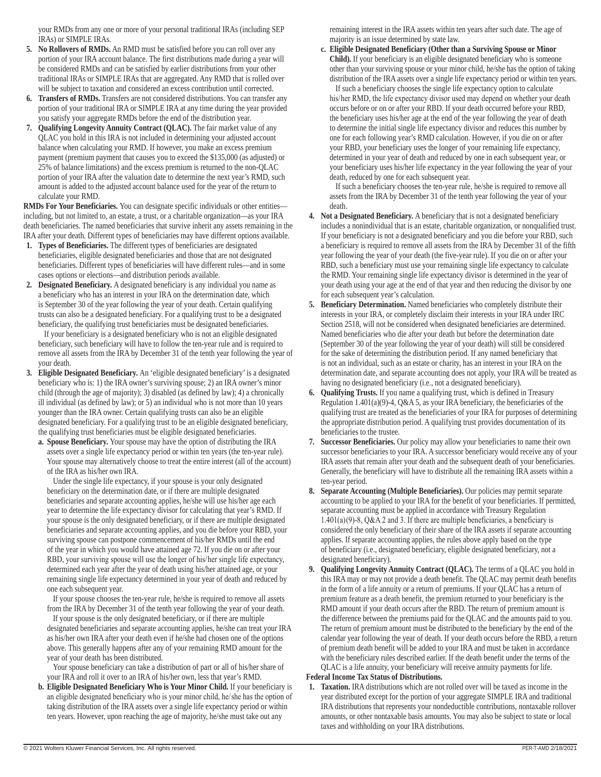your RMDs from any one or more of your personal traditional IRAs (including SEP IRAs) or SIMPLE IRAs.

- **5. No Rollovers of RMDs.** An RMD must be satisfied before you can roll over any portion of your IRA account balance. The first distributions made during a year will be considered RMDs and can be satisfied by earlier distributions from your other traditional IRAs or SIMPLE IRAs that are aggregated. Any RMD that is rolled over will be subject to taxation and considered an excess contribution until corrected.
- **6. Transfers of RMDs.** Transfers are not considered distributions. You can transfer any portion of your traditional IRA or SIMPLE IRA at any time during the year provided you satisfy your aggregate RMDs before the end of the distribution year.
- **7. Qualifying Longevity Annuity Contract (QLAC).** The fair market value of any QLAC you hold in this IRA is not included in determining your adjusted account balance when calculating your RMD. If however, you make an excess premium payment (premium payment that causes you to exceed the \$135,000 (as adjusted) or 25% of balance limitations) and the excess premium is returned to the non-QLAC portion of your IRA after the valuation date to determine the next year's RMD, such amount is added to the adjusted account balance used for the year of the return to calculate your RMD.

**RMDs For Your Beneficiaries.** You can designate specific individuals or other entities including, but not limited to, an estate, a trust, or a charitable organization—as your IRA death beneficiaries. The named beneficiaries that survive inherit any assets remaining in the IRA after your death. Different types of beneficiaries may have different options available.

- **1. Types of Beneficiaries.** The different types of beneficiaries are designated beneficiaries, eligible designated beneficiaries and those that are not designated beneficiaries. Different types of beneficiaries will have different rules—and in some cases options or elections—and distribution periods available.
- **2. Designated Beneficiary.** A designated beneficiary is any individual you name as a beneficiary who has an interest in your IRA on the determination date, which is September 30 of the year following the year of your death. Certain qualifying trusts can also be a designated beneficiary. For a qualifying trust to be a designated beneficiary, the qualifying trust beneficiaries must be designated beneficiaries.

If your beneficiary is a designated beneficiary who is not an eligible designated beneficiary, such beneficiary will have to follow the ten-year rule and is required to remove all assets from the IRA by December 31 of the tenth year following the year of your death.

- **3. Eligible Designated Beneficiary.** An 'eligible designated beneficiary' is a designated beneficiary who is: 1) the IRA owner's surviving spouse; 2) an IRA owner's minor child (through the age of majority); 3) disabled (as defined by law); 4) a chronically ill individual (as defined by law); or 5) an individual who is not more than 10 years younger than the IRA owner. Certain qualifying trusts can also be an eligible designated beneficiary. For a qualifying trust to be an eligible designated beneficiary, the qualifying trust beneficiaries must be eligible designated beneficiaries.
	- **a. Spouse Beneficiary.** Your spouse may have the option of distributing the IRA assets over a single life expectancy period or within ten years (the ten-year rule). Your spouse may alternatively choose to treat the entire interest (all of the account) of the IRA as his/her own IRA.

Under the single life expectancy, if your spouse is your only designated beneficiary on the determination date, or if there are multiple designated beneficiaries and separate accounting applies, he/she will use his/her age each year to determine the life expectancy divisor for calculating that year's RMD. If your spouse is the only designated beneficiary, or if there are multiple designated beneficiaries and separate accounting applies, and you die before your RBD, your surviving spouse can postpone commencement of his/her RMDs until the end of the year in which you would have attained age 72. If you die on or after your RBD, your surviving spouse will use the longer of his/her single life expectancy, determined each year after the year of death using his/her attained age, or your remaining single life expectancy determined in your year of death and reduced by one each subsequent year.

If your spouse chooses the ten-year rule, he/she is required to remove all assets from the IRA by December 31 of the tenth year following the year of your death.

If your spouse is the only designated beneficiary, or if there are multiple designated beneficiaries and separate accounting applies, he/she can treat your IRA as his/her own IRA after your death even if he/she had chosen one of the options above. This generally happens after any of your remaining RMD amount for the year of your death has been distributed.

Your spouse beneficiary can take a distribution of part or all of his/her share of your IRA and roll it over to an IRA of his/her own, less that year's RMD.

**b. Eligible Designated Beneficiary Who is Your Minor Child.** If your beneficiary is an eligible designated beneficiary who is your minor child, he/ she has the option of taking distribution of the IRA assets over a single life expectancy period or within ten years. However, upon reaching the age of majority, he/she must take out any

remaining interest in the IRA assets within ten years after such date. The age of majority is an issue determined by state law.

**c. Eligible Designated Beneficiary (Other than a Surviving Spouse or Minor Child).** If your beneficiary is an eligible designated beneficiary who is someone other than your surviving spouse or your minor child, he/she has the option of taking distribution of the IRA assets over a single life expectancy period or within ten years.

If such a beneficiary chooses the single life expectancy option to calculate his/her RMD, the life expectancy divisor used may depend on whether your death occurs before or on or after your RBD. If your death occurred before your RBD, the beneficiary uses his/her age at the end of the year following the year of death to determine the initial single life expectancy divisor and reduces this number by one for each following year's RMD calculation. However, if you die on or after your RBD, your beneficiary uses the longer of your remaining life expectancy, determined in your year of death and reduced by one in each subsequent year, or your beneficiary uses his/her life expectancy in the year following the year of your death, reduced by one for each subsequent year.

If such a beneficiary chooses the ten-year rule, he/she is required to remove all assets from the IRA by December 31 of the tenth year following the year of your death.

- **4. Not a Designated Beneficiary.** A beneficiary that is not a designated beneficiary includes a nonindividual that is an estate, charitable organization, or nonqualified trust. If your beneficiary is not a designated beneficiary and you die before your RBD, such a beneficiary is required to remove all assets from the IRA by December 31 of the fifth year following the year of your death (the five-year rule). If you die on or after your RBD, such a beneficiary must use your remaining single life expectancy to calculate the RMD. Your remaining single life expectancy divisor is determined in the year of your death using your age at the end of that year and then reducing the divisor by one for each subsequent year's calculation.
- **5. Beneficiary Determination.** Named beneficiaries who completely distribute their interests in your IRA, or completely disclaim their interests in your IRA under IRC Section 2518, will not be considered when designated beneficiaries are determined. Named beneficiaries who die after your death but before the determination date (September 30 of the year following the year of your death) will still be considered for the sake of determining the distribution period. If any named beneficiary that is not an individual, such as an estate or charity, has an interest in your IRA on the determination date, and separate accounting does not apply, your IRA will be treated as having no designated beneficiary (i.e., not a designated beneficiary).
- **6. Qualifying Trusts.** If you name a qualifying trust, which is defined in Treasury Regulation 1.401(a)(9)-4, Q&A 5, as your IRA beneficiary, the beneficiaries of the qualifying trust are treated as the beneficiaries of your IRA for purposes of determining the appropriate distribution period. A qualifying trust provides documentation of its beneficiaries to the trustee.
- **7. Successor Beneficiaries.** Our policy may allow your beneficiaries to name their own successor beneficiaries to your IRA. A successor beneficiary would receive any of your IRA assets that remain after your death and the subsequent death of your beneficiaries. Generally, the beneficiary will have to distribute all the remaining IRA assets within a ten-year period.
- **8. Separate Accounting (Multiple Beneficiaries).** Our policies may permit separate accounting to be applied to your IRA for the benefit of your beneficiaries. If permitted, separate accounting must be applied in accordance with Treasury Regulation  $1.401(a)(9)$ -8, Q&A 2 and 3. If there are multiple beneficiaries, a beneficiary is considered the only beneficiary of their share of the IRA assets if separate accounting applies. If separate accounting applies, the rules above apply based on the type of beneficiary (i.e., designated beneficiary, eligible designated beneficiary, not a designated beneficiary).
- **9. Qualifying Longevity Annuity Contract (QLAC).** The terms of a QLAC you hold in this IRA may or may not provide a death benefit. The QLAC may permit death benefits in the form of a life annuity or a return of premiums. If your QLAC has a return of premium feature as a death benefit, the premium returned to your beneficiary is the RMD amount if your death occurs after the RBD. The return of premium amount is the difference between the premiums paid for the QLAC and the amounts paid to you. The return of premium amount must be distributed to the beneficiary by the end of the calendar year following the year of death. If your death occurs before the RBD, a return of premium death benefit will be added to your IRA and must be taken in accordance with the beneficiary rules described earlier. If the death benefit under the terms of the QLAC is a life annuity, your beneficiary will receive annuity payments for life.

#### **Federal Income Tax Status of Distributions.**

**1. Taxation.** IRA distributions which are not rolled over will be taxed as income in the year distributed except for the portion of your aggregate SIMPLE IRA and traditional IRA distributions that represents your nondeductible contributions, nontaxable rollover amounts, or other nontaxable basis amounts. You may also be subject to state or local taxes and withholding on your IRA distributions.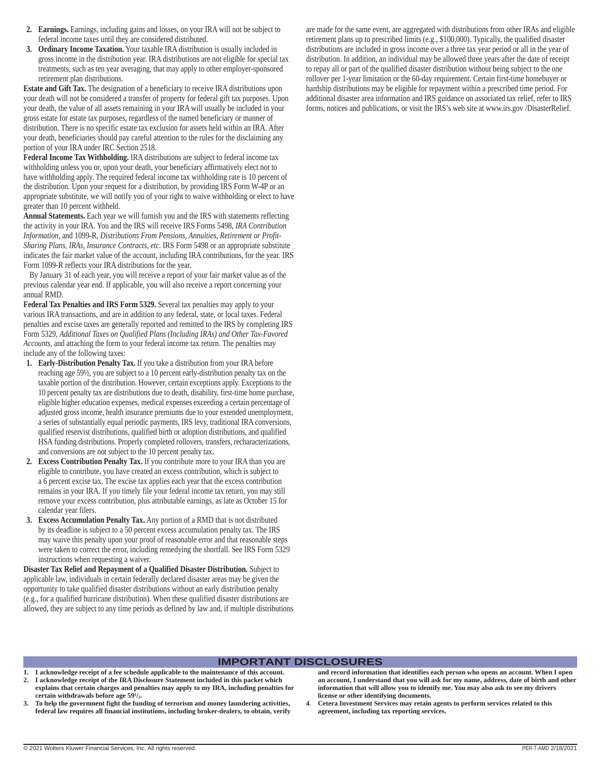- **2. Earnings.** Earnings, including gains and losses, on your IRA will not be subject to federal income taxes until they are considered distributed.
- **3. Ordinary Income Taxation.** Your taxable IRA distribution is usually included in gross income in the distribution year. IRA distributions are not eligible for special tax treatments, such as ten year averaging, that may apply to other employer-sponsored retirement plan distributions.

**Estate and Gift Tax.** The designation of a beneficiary to receive IRA distributions upon your death will not be considered a transfer of property for federal gift tax purposes. Upon your death, the value of all assets remaining in your IRA will usually be included in your gross estate for estate tax purposes, regardless of the named beneficiary or manner of distribution. There is no specific estate tax exclusion for assets held within an IRA. After your death, beneficiaries should pay careful attention to the rules for the disclaiming any portion of your IRA under IRC Section 2518.

**Federal Income Tax Withholding.** IRA distributions are subject to federal income tax withholding unless you or, upon your death, your beneficiary affirmatively elect not to have withholding apply. The required federal income tax withholding rate is 10 percent of the distribution. Upon your request for a distribution, by providing IRS Form W-4P or an appropriate substitute, we will notify you of your right to waive withholding or elect to have greater than 10 percent withheld.

**Annual Statements.** Each year we will furnish you and the IRS with statements reflecting the activity in your IRA. You and the IRS will receive IRS Forms 5498, *IRA Contribution Information*, and 1099-R, *Distributions From Pensions, Annuities, Retirement or Profit-Sharing Plans, IRAs, Insurance Contracts, etc*. IRS Form 5498 or an appropriate substitute indicates the fair market value of the account, including IRA contributions, for the year. IRS Form 1099-R reflects your IRA distributions for the year.

By January 31 of each year, you will receive a report of your fair market value as of the previous calendar year end. If applicable, you will also receive a report concerning your annual RMD.

**Federal Tax Penalties and IRS Form 5329.** Several tax penalties may apply to your various IRA transactions, and are in addition to any federal, state, or local taxes. Federal penalties and excise taxes are generally reported and remitted to the IRS by completing IRS Form 5329, *Additional Taxes on Qualified Plans (Including IRAs) and Other Tax-Favored Accounts*, and attaching the form to your federal income tax return. The penalties may include any of the following taxes:

- **1. Early-Distribution Penalty Tax.** If you take a distribution from your IRA before reaching age 59½, you are subject to a 10 percent early-distribution penalty tax on the taxable portion of the distribution. However, certain exceptions apply. Exceptions to the 10 percent penalty tax are distributions due to death, disability, first-time home purchase, eligible higher education expenses, medical expenses exceeding a certain percentage of adjusted gross income, health insurance premiums due to your extended unemployment, a series of substantially equal periodic payments, IRS levy, traditional IRA conversions, qualified reservist distributions, qualified birth or adoption distributions, and qualified HSA funding distributions. Properly completed rollovers, transfers, recharacterizations, and conversions are not subject to the 10 percent penalty tax.
- **2. Excess Contribution Penalty Tax.** If you contribute more to your IRA than you are eligible to contribute, you have created an excess contribution, which is subject to a 6 percent excise tax. The excise tax applies each year that the excess contribution remains in your IRA. If you timely file your federal income tax return, you may still remove your excess contribution, plus attributable earnings, as late as October 15 for calendar year filers.
- **3. Excess Accumulation Penalty Tax.** Any portion of a RMD that is not distributed by its deadline is subject to a 50 percent excess accumulation penalty tax. The IRS may waive this penalty upon your proof of reasonable error and that reasonable steps were taken to correct the error, including remedying the shortfall. See IRS Form 5329 instructions when requesting a waiver.

**Disaster Tax Relief and Repayment of a Qualified Disaster Distribution.** Subject to applicable law, individuals in certain federally declared disaster areas may be given the opportunity to take qualified disaster distributions without an early distribution penalty (e.g., for a qualified hurricane distribution). When these qualified disaster distributions are allowed, they are subject to any time periods as defined by law and, if multiple distributions

are made for the same event, are aggregated with distributions from other IRAs and eligible retirement plans up to prescribed limits (e.g., \$100,000). Typically, the qualified disaster distributions are included in gross income over a three tax year period or all in the year of distribution. In addition, an individual may be allowed three years after the date of receipt to repay all or part of the qualified disaster distribution without being subject to the one rollover per 1-year limitation or the 60-day requirement. Certain first-time homebuyer or hardship distributions may be eligible for repayment within a prescribed time period. For additional disaster area information and IRS guidance on associated tax relief, refer to IRS forms, notices and publications, or visit the IRS's web site at www.irs.gov /DisasterRelief.

#### **IMPORTANT DISCLOSURES**

- **1. I acknowledge receipt of a fee schedule applicable to the maintenance of this account.**
- **2. I acknowledge receipt of the IRA Disclosure Statement included in this packet which explains that certain charges and penalties may apply to my IRA, including penalties for certain withdrawals before age 591 /2.**
- **3. To help the government fight the funding of terrorism and money laundering activities, federal law requires all financial institutions, including broker-dealers, to obtain, verify**

**and record information that identifies each person who opens an account. When I open an account, I understand that you will ask for my name, address, date of birth and other information that will allow you to identify me. You may also ask to see my drivers license or other identifying documents.**

**4**. **Cetera Investment Services may retain agents to perform services related to this agreement, including tax reporting services.**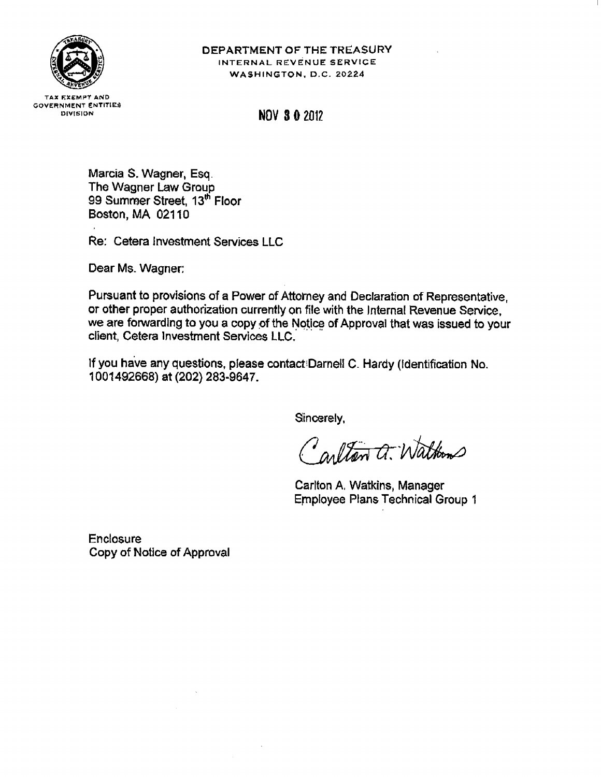

## DEPARTMENT OF THE TREASURY INTERNAL REVENUE SERVICE WASHINGTON, D.C. 20224

**TAX EXEMPT AND GOVERNMENT ENTITIES** DIVISION

**NOV 3 0 2012** 

Marcia S. Wagner, Esq. The Wagner Law Group 99 Summer Street, 13<sup>th</sup> Floor Boston, MA 02110

Re: Cetera Investment Services LLC

Dear Ms. Wagner:

Pursuant to provisions of a Power of Attorney and Declaration of Representative, or other proper authorization currently on file with the Internal Revenue Service. we are forwarding to you a copy of the Notice of Approval that was issued to your client, Cetera Investment Services LLC.

If you have any questions, please contact Darnell C. Hardy (Identification No. 1001492668) at (202) 283-9647.

Sincerely,

Carlton a. Waltons

Carlton A. Watkins, Manager **Employee Plans Technical Group 1** 

**Enclosure** Copy of Notice of Approval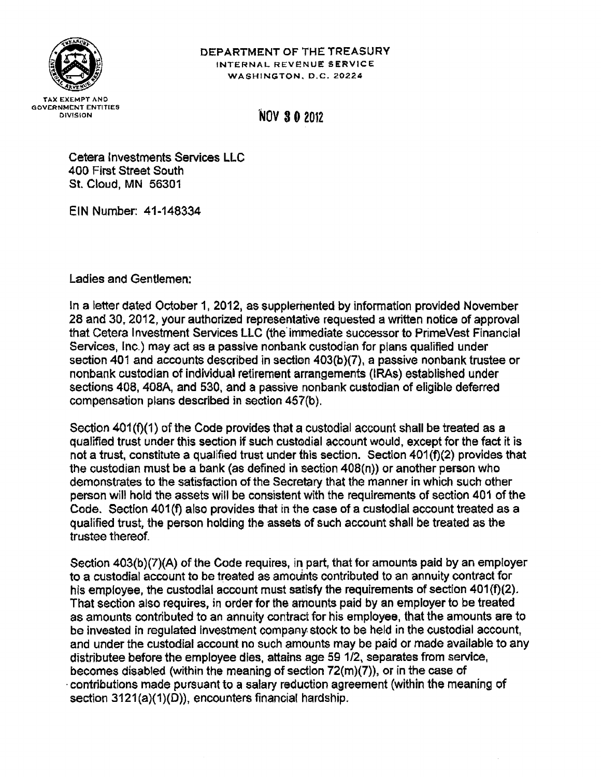

# DEPARTMENT OF THE TREASURY INTERNAL REVENUE SERVICE WASHINGTON, D.C. 20224

# **NOV 30 2012**

Cetera Investments Services LLC 400 First Street South St. Cloud, MN 56301

EIN Number: 41-148334

Ladies and Gentlemen:

In a letter dated October 1, 2012, as supplemented by information provided November 28 and 30, 2012, your authorized representative requested a written notice of approval that Cetera Investment Services LLC (the immediate successor to PrimeVest Financial Services, Inc.) may act as a passive nonbank custodian for plans qualified under section 401 and accounts described in section 403(b)(7), a passive nonbank trustee or nonbank custodian of individual retirement arrangements (IRAs) established under sections 408, 408A, and 530, and a passive nonbank custodian of eligible deferred compensation plans described in section 457(b).

Section 401(f)(1) of the Code provides that a custodial account shall be treated as a qualified trust under this section if such custodial account would, except for the fact it is not a trust, constitute a qualified trust under this section. Section 401(f)(2) provides that the custodian must be a bank (as defined in section 408(n)) or another person who demonstrates to the satisfaction of the Secretary that the manner in which such other person will hold the assets will be consistent with the requirements of section 401 of the Code. Section 401(f) also provides that in the case of a custodial account treated as a qualified trust, the person holding the assets of such account shall be treated as the trustee thereof.

Section 403(b)(7)(A) of the Code requires, in part, that for amounts paid by an employer to a custodial account to be treated as amounts contributed to an annuity contract for his employee, the custodial account must satisfy the requirements of section 401(f)(2). That section also requires, in order for the amounts paid by an employer to be treated as amounts contributed to an annuity contract for his employee, that the amounts are to be invested in regulated investment company stock to be held in the custodial account, and under the custodial account no such amounts may be paid or made available to any distributee before the employee dies, attains age 59 1/2, separates from service, becomes disabled (within the meaning of section  $72(m)(7)$ ), or in the case of contributions made pursuant to a salary reduction agreement (within the meaning of section 3121(a)(1)(D)), encounters financial hardship.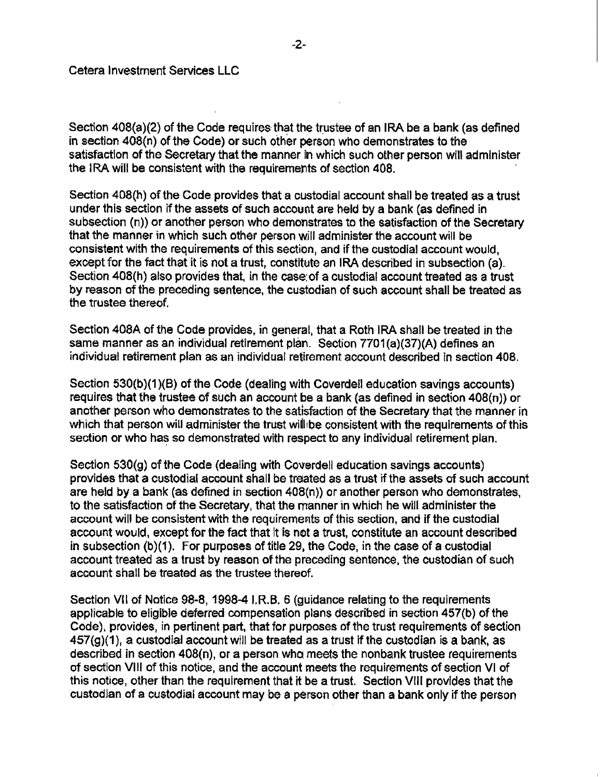Section 408(a)(2) of the Code requires that the trustee of an IRA be a bank (as defined in section 408(n) of the Code) or such other person who demonstrates to the satisfaction of the Secretary that the manner in which such other person will administer the IRA will be consistent with the requirements of section 408.

Section 408(h) of the Code provides that a custodial account shall be treated as a trust under this section if the assets of such account are held by a bank (as defined in subsection (n)) or another person who demonstrates to the satisfaction of the Secretary that the manner in which such other person will administer the account will be consistent with the requirements of this section, and if the custodial account would, except for the fact that it is not a trust, constitute an IRA described in subsection (a). Section 408(h) also provides that, in the case of a custodial account treated as a trust by reason of the preceding sentence, the custodian of such account shall be treated as the trustee thereof.

Section 408A of the Code provides, in general, that a Roth IRA shall be treated in the same manner as an individual retirement plan. Section 7701(a)(37)(A) defines an individual retirement plan as an individual retirement account described in section 408.

Section 530(b)(1)(B) of the Code (dealing with Coverdell education savings accounts) requires that the trustee of such an account be a bank (as defined in section  $408(n)$ ) or another person who demonstrates to the satisfaction of the Secretary that the manner in which that person will administer the trust will be consistent with the requirements of this section or who has so demonstrated with respect to any individual retirement plan.

Section 530(g) of the Code (dealing with Coverdell education savings accounts) provides that a custodial account shall be treated as a trust if the assets of such account are held by a bank (as defined in section 408(n)) or another person who demonstrates, to the satisfaction of the Secretary, that the manner in which he will administer the account will be consistent with the requirements of this section, and if the custodial account would, except for the fact that it is not a trust, constitute an account described in subsection (b)(1). For purposes of title 29, the Code, in the case of a custodial account treated as a trust by reason of the preceding sentence, the custodian of such account shall be treated as the trustee thereof.

Section VII of Notice 98-8, 1998-4 I.R.B. 6 (guidance relating to the requirements applicable to eligible deferred compensation plans described in section 457(b) of the Code), provides, in pertinent part, that for purposes of the trust requirements of section  $457(g)(1)$ , a custodial account will be treated as a trust if the custodian is a bank, as described in section 408(n), or a person who meets the nonbank trustee requirements of section VIII of this notice, and the account meets the requirements of section VI of this notice, other than the requirement that it be a trust. Section VIII provides that the custodian of a custodial account may be a person other than a bank only if the person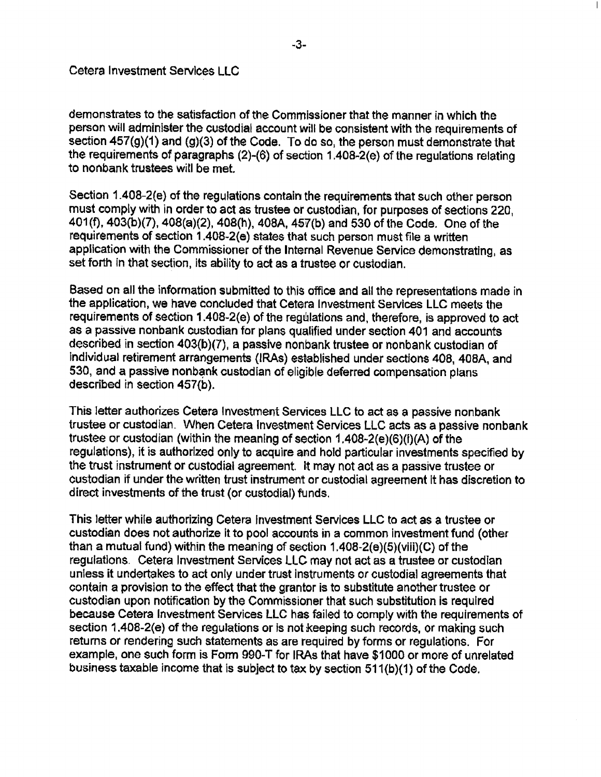demonstrates to the satisfaction of the Commissioner that the manner in which the person will administer the custodial account will be consistent with the requirements of section 457(g)(1) and (g)(3) of the Code. To do so, the person must demonstrate that the requirements of paragraphs (2)-(6) of section 1.408-2(e) of the regulations relating to nonbank trustees will be met.

Section 1.408-2(e) of the regulations contain the requirements that such other person must comply with in order to act as trustee or custodian, for purposes of sections 220. 401(f), 403(b)(7), 408(a)(2), 408(h), 408A, 457(b) and 530 of the Code. One of the requirements of section 1.408-2(e) states that such person must file a written application with the Commissioner of the Internal Revenue Service demonstrating, as set forth in that section, its ability to act as a trustee or custodian.

Based on all the information submitted to this office and all the representations made in the application, we have concluded that Cetera Investment Services LLC meets the requirements of section 1.408-2(e) of the regulations and, therefore, is approved to act as a passive nonbank custodian for plans qualified under section 401 and accounts described in section 403(b)(7), a passive nonbank trustee or nonbank custodian of individual retirement arrangements (IRAs) established under sections 408, 408A, and 530, and a passive nonbank custodian of eligible deferred compensation plans described in section 457(b).

This letter authorizes Cetera Investment Services LLC to act as a passive nonbank trustee or custodian. When Cetera Investment Services LLC acts as a passive nonbank trustee or custodian (within the meaning of section 1.408-2(e)(6)(i)(A) of the regulations), it is authorized only to acquire and hold particular investments specified by the trust instrument or custodial agreement. It may not act as a passive trustee or custodian if under the written trust instrument or custodial agreement it has discretion to direct investments of the trust (or custodial) funds.

This letter while authorizing Cetera Investment Services LLC to act as a trustee or custodian does not authorize it to pool accounts in a common investment fund (other than a mutual fund) within the meaning of section 1.408-2(e)(5)(viii)(C) of the regulations. Cetera Investment Services LLC may not act as a trustee or custodian unless it undertakes to act only under trust instruments or custodial agreements that contain a provision to the effect that the grantor is to substitute another trustee or custodian upon notification by the Commissioner that such substitution is required because Cetera Investment Services LLC has failed to comply with the requirements of section 1.408-2(e) of the regulations or is not keeping such records, or making such returns or rendering such statements as are required by forms or regulations. For example, one such form is Form 990-T for IRAs that have \$1000 or more of unrelated business taxable income that is subject to tax by section 511(b)(1) of the Code.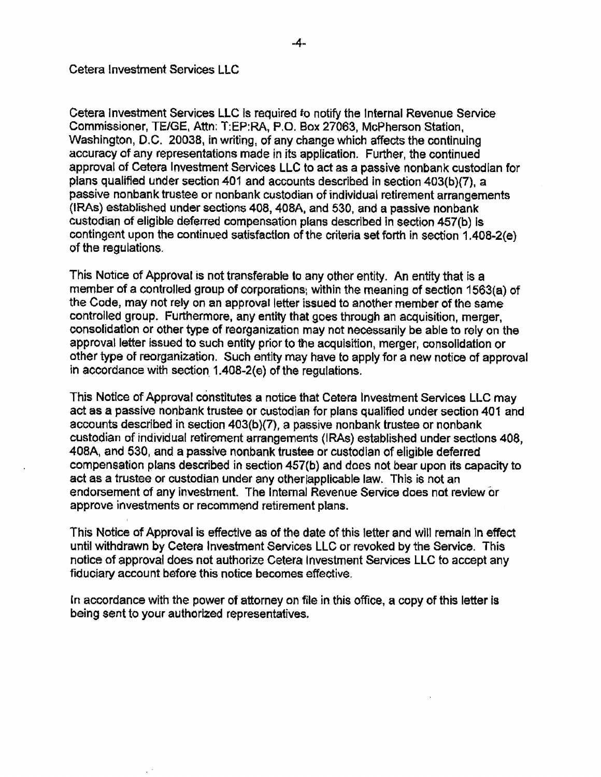Cetera Investment Services LLC is required to notify the Internal Revenue Service Commissioner, TE/GE, Attn: T:EP:RA, P.O. Box 27063, McPherson Station, Washington, D.C. 20038, in writing, of any change which affects the continuing accuracy of any representations made in its application. Further, the continued approval of Cetera Investment Services LLC to act as a passive nonbank custodian for plans qualified under section 401 and accounts described in section 403(b)(7), a passive nonbank trustee or nonbank custodian of individual retirement arrangements (IRAs) established under sections 408, 408A, and 530, and a passive nonbank custodian of eligible deferred compensation plans described in section 457(b) is contingent upon the continued satisfaction of the criteria set forth in section 1.408-2(e) of the regulations.

This Notice of Approval is not transferable to any other entity. An entity that is a member of a controlled group of corporations, within the meaning of section 1563(a) of the Code, may not rely on an approval letter issued to another member of the same controlled group. Furthermore, any entity that goes through an acquisition, merger, consolidation or other type of reorganization may not necessarily be able to rely on the approval letter issued to such entity prior to the acquisition, merger, consolidation or other type of reorganization. Such entity may have to apply for a new notice of approval in accordance with section 1.408-2(e) of the regulations.

This Notice of Approval constitutes a notice that Cetera Investment Services LLC may act as a passive nonbank trustee or custodian for plans qualified under section 401 and accounts described in section 403(b)(7), a passive nonbank trustee or nonbank custodian of individual retirement arrangements (IRAs) established under sections 408, 408A, and 530, and a passive nonbank trustee or custodian of eligible deferred compensation plans described in section 457(b) and does not bear upon its capacity to act as a trustee or custodian under any other applicable law. This is not an endorsement of any investment. The Internal Revenue Service does not review or approve investments or recommend retirement plans.

This Notice of Approval is effective as of the date of this letter and will remain in effect until withdrawn by Cetera Investment Services LLC or revoked by the Service. This notice of approval does not authorize Cetera Investment Services LLC to accept any fiduciary account before this notice becomes effective.

In accordance with the power of attorney on file in this office, a copy of this letter is being sent to your authorized representatives.